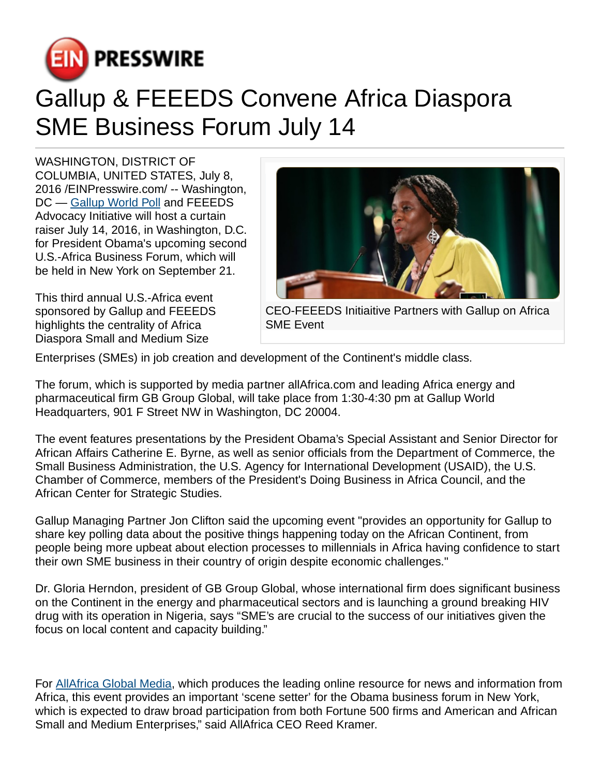

## Gallup & FEEEDS Convene Africa Diaspora SME Business Forum July 14

WASHINGTON, DISTRICT OF COLUMBIA, UNITED STATES, July 8, 2016 [/EINPresswire.com](http://www.einpresswire.com)/ -- Washington, DC — [Gallup World Poll](http://www.gallup.com/services/170945/world-poll.aspx) and FEEEDS Advocacy Initiative will host a curtain raiser July 14, 2016, in Washington, D.C. for President Obama's upcoming second U.S.-Africa Business Forum, which will be held in New York on September 21.

This third annual U.S.-Africa event sponsored by Gallup and FEEEDS highlights the centrality of Africa Diaspora Small and Medium Size



CEO-FEEEDS Initiaitive Partners with Gallup on Africa SME Event

Enterprises (SMEs) in job creation and development of the Continent's middle class.

The forum, which is supported by media partner allAfrica.com and leading Africa energy and pharmaceutical firm GB Group Global, will take place from 1:30-4:30 pm at Gallup World Headquarters, 901 F Street NW in Washington, DC 20004.

The event features presentations by the President Obama's Special Assistant and Senior Director for African Affairs Catherine E. Byrne, as well as senior officials from the Department of Commerce, the Small Business Administration, the U.S. Agency for International Development (USAID), the U.S. Chamber of Commerce, members of the President's Doing Business in Africa Council, and the African Center for Strategic Studies.

Gallup Managing Partner Jon Clifton said the upcoming event "provides an opportunity for Gallup to share key polling data about the positive things happening today on the African Continent, from people being more upbeat about election processes to millennials in Africa having confidence to start their own SME business in their country of origin despite economic challenges."

Dr. Gloria Herndon, president of GB Group Global, whose international firm does significant business on the Continent in the energy and pharmaceutical sectors and is launching a ground breaking HIV drug with its operation in Nigeria, says "SME's are crucial to the success of our initiatives given the focus on local content and capacity building."

For [AllAfrica Global Media](http://allafrica.com/), which produces the leading online resource for news and information from Africa, this event provides an important 'scene setter' for the Obama business forum in New York, which is expected to draw broad participation from both Fortune 500 firms and American and African Small and Medium Enterprises," said AllAfrica CEO Reed Kramer.